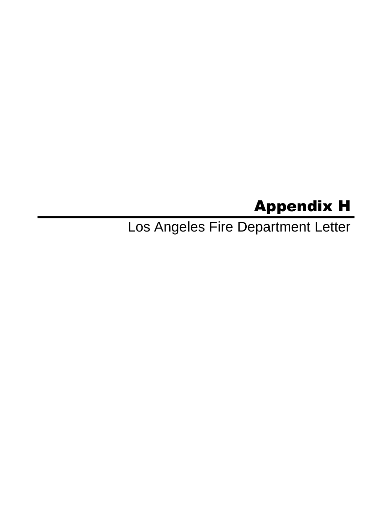# Appendix H

Los Angeles Fire Department Letter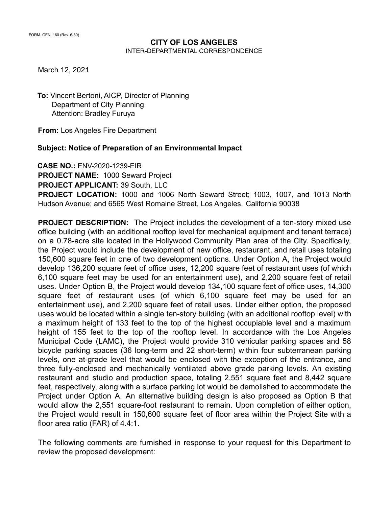#### **CITY OF LOS ANGELES**

INTER-DEPARTMENTAL CORRESPONDENCE

March 12, 2021

**To:** Vincent Bertoni, AICP, Director of Planning Department of City Planning Attention: Bradley Furuya

**From:** Los Angeles Fire Department

# **Subject: Notice of Preparation of an Environmental Impact**

**CASE NO.:** ENV-2020-1239-EIR **PROJECT NAME:** 1000 Seward Project **PROJECT APPLICANT:** 39 South, LLC **PROJECT LOCATION:** 1000 and 1006 North Seward Street; 1003, 1007, and 1013 North Hudson Avenue; and 6565 West Romaine Street, Los Angeles, California 90038

**PROJECT DESCRIPTION:** The Project includes the development of a ten-story mixed use office building (with an additional rooftop level for mechanical equipment and tenant terrace) on a 0.78-acre site located in the Hollywood Community Plan area of the City. Specifically, the Project would include the development of new office, restaurant, and retail uses totaling 150,600 square feet in one of two development options. Under Option A, the Project would develop 136,200 square feet of office uses, 12,200 square feet of restaurant uses (of which 6,100 square feet may be used for an entertainment use), and 2,200 square feet of retail uses. Under Option B, the Project would develop 134,100 square feet of office uses, 14,300 square feet of restaurant uses (of which 6,100 square feet may be used for an entertainment use), and 2,200 square feet of retail uses. Under either option, the proposed uses would be located within a single ten-story building (with an additional rooftop level) with a maximum height of 133 feet to the top of the highest occupiable level and a maximum height of 155 feet to the top of the rooftop level. In accordance with the Los Angeles Municipal Code (LAMC), the Project would provide 310 vehicular parking spaces and 58 bicycle parking spaces (36 long-term and 22 short-term) within four subterranean parking levels, one at-grade level that would be enclosed with the exception of the entrance, and three fully-enclosed and mechanically ventilated above grade parking levels. An existing restaurant and studio and production space, totaling 2,551 square feet and 8,442 square feet, respectively, along with a surface parking lot would be demolished to accommodate the Project under Option A. An alternative building design is also proposed as Option B that would allow the 2,551 square-foot restaurant to remain. Upon completion of either option, the Project would result in 150,600 square feet of floor area within the Project Site with a floor area ratio (FAR) of 4.4:1.

The following comments are furnished in response to your request for this Department to review the proposed development: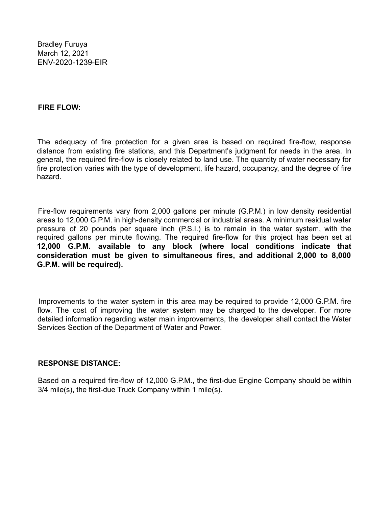## **FIRE FLOW:**

The adequacy of fire protection for a given area is based on required fire-flow, response distance from existing fire stations, and this Department's judgment for needs in the area. In general, the required fire-flow is closely related to land use. The quantity of water necessary for fire protection varies with the type of development, life hazard, occupancy, and the degree of fire hazard.

Fire-flow requirements vary from 2,000 gallons per minute (G.P.M.) in low density residential areas to 12,000 G.P.M. in high-density commercial or industrial areas. A minimum residual water pressure of 20 pounds per square inch (P.S.I.) is to remain in the water system, with the required gallons per minute flowing. The required fire-flow for this project has been set at **12,000 G.P.M. available to any block (where local conditions indicate that consideration must be given to simultaneous fires, and additional 2,000 to 8,000 G.P.M. will be required).**

Improvements to the water system in this area may be required to provide 12,000 G.P.M. fire flow. The cost of improving the water system may be charged to the developer. For more detailed information regarding water main improvements, the developer shall contact the Water Services Section of the Department of Water and Power.

#### **RESPONSE DISTANCE:**

Based on a required fire-flow of 12,000 G.P.M., the first-due Engine Company should be within 3/4 mile(s), the first-due Truck Company within 1 mile(s).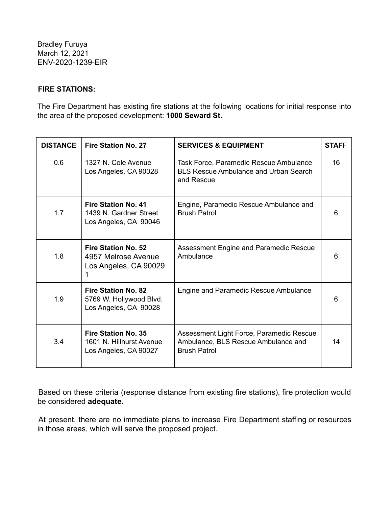## **FIRE STATIONS:**

The Fire Department has existing fire stations at the following locations for initial response into the area of the proposed development: **1000 Seward St.**

| <b>DISTANCE</b> | <b>Fire Station No. 27</b>                                                     | <b>SERVICES &amp; EQUIPMENT</b>                                                                        | <b>STAFF</b> |
|-----------------|--------------------------------------------------------------------------------|--------------------------------------------------------------------------------------------------------|--------------|
| 0.6             | 1327 N. Cole Avenue<br>Los Angeles, CA 90028                                   | Task Force, Paramedic Rescue Ambulance<br><b>BLS Rescue Ambulance and Urban Search</b><br>and Rescue   | 16           |
| 1.7             | <b>Fire Station No. 41</b><br>1439 N. Gardner Street<br>Los Angeles, CA 90046  | Engine, Paramedic Rescue Ambulance and<br><b>Brush Patrol</b>                                          | 6            |
| 1.8             | Fire Station No. 52<br>4957 Melrose Avenue<br>Los Angeles, CA 90029            | Assessment Engine and Paramedic Rescue<br>Ambulance                                                    | 6            |
| 1.9             | <b>Fire Station No. 82</b><br>5769 W. Hollywood Blvd.<br>Los Angeles, CA 90028 | <b>Engine and Paramedic Rescue Ambulance</b>                                                           | 6            |
| 3.4             | Fire Station No. 35<br>1601 N. Hillhurst Avenue<br>Los Angeles, CA 90027       | Assessment Light Force, Paramedic Rescue<br>Ambulance, BLS Rescue Ambulance and<br><b>Brush Patrol</b> | 14           |

Based on these criteria (response distance from existing fire stations), fire protection would be considered **adequate.**

At present, there are no immediate plans to increase Fire Department staffing or resources in those areas, which will serve the proposed project.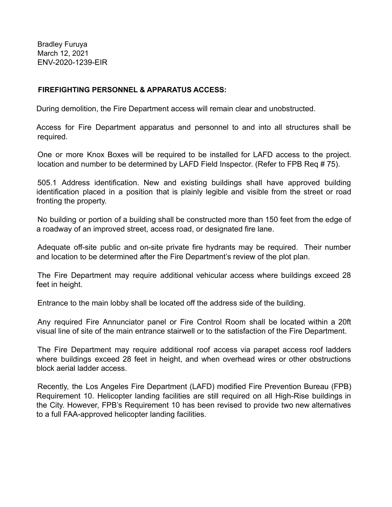# **FIREFIGHTING PERSONNEL & APPARATUS ACCESS:**

During demolition, the Fire Department access will remain clear and unobstructed.

Access for Fire Department apparatus and personnel to and into all structures shall be required.

One or more Knox Boxes will be required to be installed for LAFD access to the project. location and number to be determined by LAFD Field Inspector. (Refer to FPB Req # 75).

505.1 Address identification. New and existing buildings shall have approved building identification placed in a position that is plainly legible and visible from the street or road fronting the property.

No building or portion of a building shall be constructed more than 150 feet from the edge of a roadway of an improved street, access road, or designated fire lane.

Adequate off-site public and on-site private fire hydrants may be required. Their number and location to be determined after the Fire Department's review of the plot plan.

The Fire Department may require additional vehicular access where buildings exceed 28 feet in height.

Entrance to the main lobby shall be located off the address side of the building.

Any required Fire Annunciator panel or Fire Control Room shall be located within a 20ft visual line of site of the main entrance stairwell or to the satisfaction of the Fire Department.

The Fire Department may require additional roof access via parapet access roof ladders where buildings exceed 28 feet in height, and when overhead wires or other obstructions block aerial ladder access.

Recently, the Los Angeles Fire Department (LAFD) modified Fire Prevention Bureau (FPB) Requirement 10. Helicopter landing facilities are still required on all High-Rise buildings in the City. However, FPB's Requirement 10 has been revised to provide two new alternatives to a full FAA-approved helicopter landing facilities.